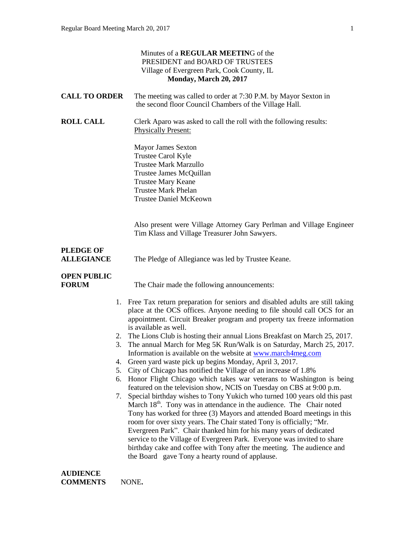|                                       | Minutes of a REGULAR MEETING of the<br>PRESIDENT and BOARD OF TRUSTEES<br>Village of Evergreen Park, Cook County, IL<br>Monday, March 20, 2017                                                                                                                                                                                                                                                                                                                                                                                                                                                                                                                                                                                                                                                                                                                                                                                                                                                                                                                                                                                                                                                                                                                                                                                                                                                     |
|---------------------------------------|----------------------------------------------------------------------------------------------------------------------------------------------------------------------------------------------------------------------------------------------------------------------------------------------------------------------------------------------------------------------------------------------------------------------------------------------------------------------------------------------------------------------------------------------------------------------------------------------------------------------------------------------------------------------------------------------------------------------------------------------------------------------------------------------------------------------------------------------------------------------------------------------------------------------------------------------------------------------------------------------------------------------------------------------------------------------------------------------------------------------------------------------------------------------------------------------------------------------------------------------------------------------------------------------------------------------------------------------------------------------------------------------------|
| <b>CALL TO ORDER</b>                  | The meeting was called to order at 7:30 P.M. by Mayor Sexton in<br>the second floor Council Chambers of the Village Hall.                                                                                                                                                                                                                                                                                                                                                                                                                                                                                                                                                                                                                                                                                                                                                                                                                                                                                                                                                                                                                                                                                                                                                                                                                                                                          |
| <b>ROLL CALL</b>                      | Clerk Aparo was asked to call the roll with the following results:<br><b>Physically Present:</b>                                                                                                                                                                                                                                                                                                                                                                                                                                                                                                                                                                                                                                                                                                                                                                                                                                                                                                                                                                                                                                                                                                                                                                                                                                                                                                   |
|                                       | <b>Mayor James Sexton</b><br>Trustee Carol Kyle<br><b>Trustee Mark Marzullo</b><br>Trustee James McQuillan<br><b>Trustee Mary Keane</b><br><b>Trustee Mark Phelan</b><br><b>Trustee Daniel McKeown</b>                                                                                                                                                                                                                                                                                                                                                                                                                                                                                                                                                                                                                                                                                                                                                                                                                                                                                                                                                                                                                                                                                                                                                                                             |
|                                       | Also present were Village Attorney Gary Perlman and Village Engineer<br>Tim Klass and Village Treasurer John Sawyers.                                                                                                                                                                                                                                                                                                                                                                                                                                                                                                                                                                                                                                                                                                                                                                                                                                                                                                                                                                                                                                                                                                                                                                                                                                                                              |
| <b>PLEDGE OF</b><br><b>ALLEGIANCE</b> | The Pledge of Allegiance was led by Trustee Keane.                                                                                                                                                                                                                                                                                                                                                                                                                                                                                                                                                                                                                                                                                                                                                                                                                                                                                                                                                                                                                                                                                                                                                                                                                                                                                                                                                 |
| <b>OPEN PUBLIC</b><br><b>FORUM</b>    | The Chair made the following announcements:                                                                                                                                                                                                                                                                                                                                                                                                                                                                                                                                                                                                                                                                                                                                                                                                                                                                                                                                                                                                                                                                                                                                                                                                                                                                                                                                                        |
|                                       | 1. Free Tax return preparation for seniors and disabled adults are still taking<br>place at the OCS offices. Anyone needing to file should call OCS for an<br>appointment. Circuit Breaker program and property tax freeze information<br>is available as well.<br>2. The Lions Club is hosting their annual Lions Breakfast on March 25, 2017.<br>The annual March for Meg 5K Run/Walk is on Saturday, March 25, 2017.<br>3.<br>Information is available on the website at www.march4meg.com<br>Green yard waste pick up begins Monday, April 3, 2017.<br>4.<br>City of Chicago has notified the Village of an increase of 1.8%<br>5.<br>6. Honor Flight Chicago which takes war veterans to Washington is being<br>featured on the television show, NCIS on Tuesday on CBS at 9:00 p.m.<br>Special birthday wishes to Tony Yukich who turned 100 years old this past<br>7.<br>March 18 <sup>th</sup> . Tony was in attendance in the audience. The Chair noted<br>Tony has worked for three (3) Mayors and attended Board meetings in this<br>room for over sixty years. The Chair stated Tony is officially; "Mr.<br>Evergreen Park". Chair thanked him for his many years of dedicated<br>service to the Village of Evergreen Park. Everyone was invited to share<br>birthday cake and coffee with Tony after the meeting. The audience and<br>the Board gave Tony a hearty round of applause. |
| <b>AUDIENCE</b>                       |                                                                                                                                                                                                                                                                                                                                                                                                                                                                                                                                                                                                                                                                                                                                                                                                                                                                                                                                                                                                                                                                                                                                                                                                                                                                                                                                                                                                    |

**COMMENTS** NONE**.**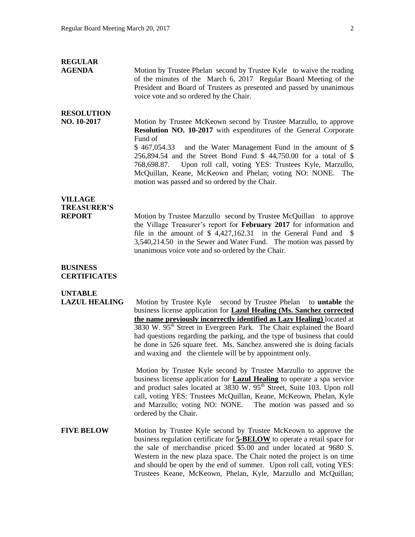### **REGULAR**

**AGENDA** Motion by Trustee Phelan second by Trustee Kyle to waive the reading of the minutes of the March 6, 2017 Regular Board Meeting of the President and Board of Trustees as presented and passed by unanimous voice vote and so ordered by the Chair.

# **RESOLUTION**

**NO. 10-2017** Motion by Trustee McKeown second by Trustee Marzullo, to approve **Resolution NO. 10-2017** with expenditures of the General Corporate Fund of

> \$ 467,054.33 and the Water Management Fund in the amount of \$ 256,894.54 and the Street Bond Fund \$ 44,750.00 for a total of \$ 768,698.87. Upon roll call, voting YES: Trustees Kyle, Marzullo, McQuillan, Keane, McKeown and Phelan; voting NO: NONE. The motion was passed and so ordered by the Chair.

# **VILLAGE TREASURER'S**

**REPORT** Motion by Trustee Marzullo second by Trustee McQuillan to approve the Village Treasurer's report for **February 2017** for information and file in the amount of \$4,427,162.31 in the General Fund and \$ 3,540,214.50 in the Sewer and Water Fund. The motion was passed by unanimous voice vote and so ordered by the Chair.

#### **BUSINESS CERTIFICATES**

### **UNTABLE**

**LAZUL HEALING** Motion by Trustee Kyle second by Trustee Phelan to **untable** the business license application for **Lazul Healing (Ms. Sanchez corrected the name previously incorrectly identified as Lazy Healing)** located at 3830 W. 95<sup>th</sup> Street in Evergreen Park. The Chair explained the Board had questions regarding the parking, and the type of business that could be done in 526 square feet. Ms. Sanchez answered she is doing facials and waxing and the clientele will be by appointment only.

> Motion by Trustee Kyle second by Trustee Marzullo to approve the business license application for **Lazul Healing** to operate a spa service and product sales located at 3830 W. 95<sup>th</sup> Street, Suite 103. Upon roll call, voting YES: Trustees McQuillan, Keane, McKeown, Phelan, Kyle and Marzullo; voting NO: NONE. The motion was passed and so ordered by the Chair.

**FIVE BELOW** Motion by Trustee Kyle second by Trustee McKeown to approve the business regulation certificate for **5-BELOW** to operate a retail space for the sale of merchandise priced \$5.00 and under located at 9680 S. Western in the new plaza space. The Chair noted the project is on time and should be open by the end of summer. Upon roll call, voting YES: Trustees Keane, McKeown, Phelan, Kyle, Marzullo and McQuillan;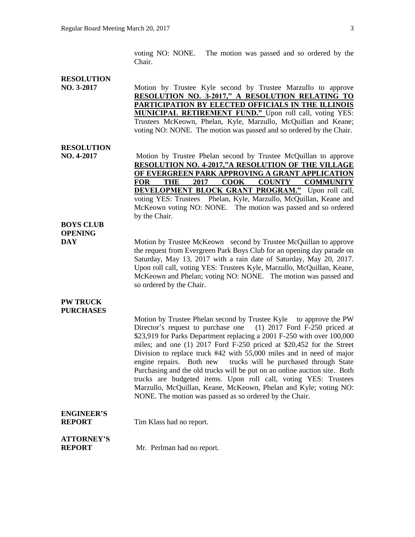voting NO: NONE. The motion was passed and so ordered by the Chair.

#### **RESOLUTION**

**NO. 3-2017** Motion by Trustee Kyle second by Trustee Marzullo to approve **RESOLUTION NO. 3-2017," A RESOLUTION RELATING TO PARTICIPATION BY ELECTED OFFICIALS IN THE ILLINOIS MUNICIPAL RETIREMENT FUND."** Upon roll call, voting YES: Trustees McKeown, Phelan, Kyle, Marzullo, McQuillan and Keane; voting NO: NONE. The motion was passed and so ordered by the Chair.

# **RESOLUTION**

**NO. 4-2017** Motion by Trustee Phelan second by Trustee McQuillan to approve **RESOLUTION NO. 4-2017,"A RESOLUTION OF THE VILLAGE OF EVERGREEN PARK APPROVING A GRANT APPLICATION FOR THE 2017 COOK COUNTY COMMUNITY DEVELOPMENT BLOCK GRANT PROGRAM."** Upon roll call, voting YES: Trustees Phelan, Kyle, Marzullo, McQuillan, Keane and McKeown voting NO: NONE. The motion was passed and so ordered by the Chair.

#### **BOYS CLUB OPENING**

**DAY** Motion by Trustee McKeown second by Trustee McQuillan to approve the request from Evergreen Park Boys Club for an opening day parade on Saturday, May 13, 2017 with a rain date of Saturday, May 20, 2017. Upon roll call, voting YES: Trustees Kyle, Marzullo, McQuillan, Keane, McKeown and Phelan; voting NO: NONE. The motion was passed and so ordered by the Chair.

#### **PW TRUCK PURCHASES**

Motion by Trustee Phelan second by Trustee Kyle to approve the PW Director's request to purchase one (1) 2017 Ford F-250 priced at \$23,919 for Parks Department replacing a 2001 F-250 with over 100,000 miles; and one (1) 2017 Ford F-250 priced at \$20,452 for the Street Division to replace truck #42 with 55,000 miles and in need of major engine repairs. Both new trucks will be purchased through State Purchasing and the old trucks will be put on an online auction site. Both trucks are budgeted items. Upon roll call, voting YES: Trustees Marzullo, McQuillan, Keane, McKeown, Phelan and Kyle; voting NO: NONE. The motion was passed as so ordered by the Chair.

# **ENGINEER'S**

**REPORT** Tim Klass had no report.

# **ATTORNEY'S**

**REPORT** Mr. Perlman had no report.